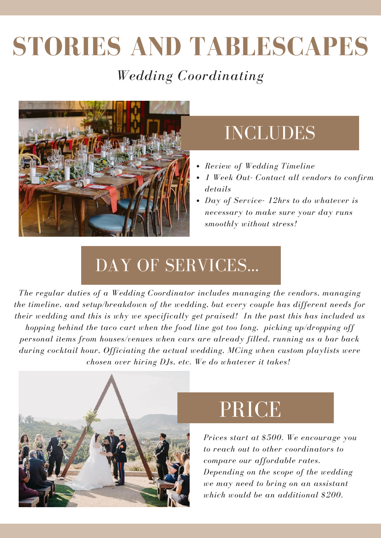# **STORIES AND TABLESCAPES**

#### *Wedding Coordinating*



### INCLUDES

- *Review of Wedding Timeline*
- *1 Week Out- Contact all vendors to confirm details*
- *Day of Service- 12hrs to do whatever is necessary to make sure your day runs smoothly without stress!*

### DAY OF SERVICES...

*The regular duties of a Wedding Coordinator includes managing the vendors, managing the timeline, and setup/breakdown of the wedding, but every couple has different needs for their wedding and this is why we specifically get praised! In the past this has included us hopping behind the taco cart when the food line got too long, picking up/dropping off personal items from houses/venues when cars are already filled, running as a bar back during cocktail hour, Officiating the actual wedding, MCing when custom playlists were chosen over hiring DJs, etc. We do whatever it takes!*



# PRICE

*Prices start at \$500. We encourage you to reach out to other coordinators to compare our affordable rates. Depending on the scope of the wedding we may need to bring on an assistant which would be an additional \$200.*